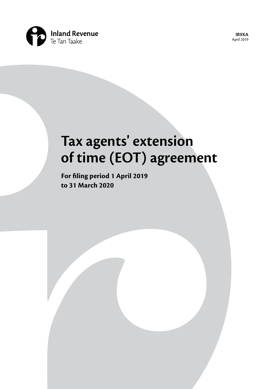

**IR9XA**  April 2019

# **Tax agents' extension of time (EOT) agreement**

**For filing period 1 April 2019 to 31 March 2020**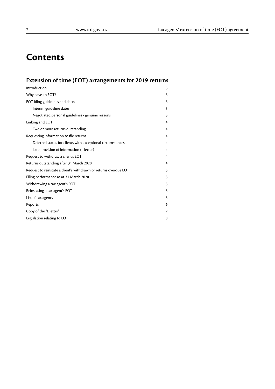# **Contents**

# **Extension of time (EOT) arrangements for 2019 returns**

| Introduction                                                     | 3 |
|------------------------------------------------------------------|---|
| Why have an EOT?                                                 | 3 |
| EOT filing guidelines and dates                                  | 3 |
| Interim guideline dates                                          | 3 |
| Negotiated personal guidelines - genuine reasons                 | 3 |
| Linking and EOT                                                  | 4 |
| Two or more returns outstanding                                  | 4 |
| Requesting information to file returns                           | 4 |
| Deferred status for clients with exceptional circumstances       | 4 |
| Late provision of information (L letter)                         | 4 |
| Request to withdraw a client's EOT                               | 4 |
| Returns outstanding after 31 March 2020                          | 4 |
| Request to reinstate a client's withdrawn or returns overdue EOT | 5 |
| Filing performance as at 31 March 2020                           | 5 |
| Withdrawing a tax agent's EOT                                    | 5 |
| Reinstating a tax agent's EOT                                    | 5 |
| List of tax agents                                               | 5 |
| Reports                                                          | 6 |
| Copy of the "L letter"                                           | 7 |
| Legislation relating to EOT                                      | 8 |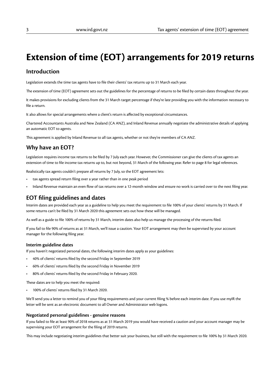# **Extension of time (EOT) arrangements for 2019 returns**

# **Introduction**

Legislation extends the time tax agents have to file their clients' tax returns up to 31 March each year.

The extension of time (EOT) agreement sets out the guidelines for the percentage of returns to be filed by certain dates throughout the year.

It makes provisions for excluding clients from the 31 March target percentage if they're late providing you with the information necessary to file a return.

It also allows for special arrangements where a client's return is affected by exceptional circumstances.

Chartered Accountants Australia and New Zealand (CA ANZ), and Inland Revenue annually negotiate the administrative details of applying an automatic EOT to agents.

This agreement is applied by Inland Revenue to all tax agents, whether or not they're members of CA ANZ.

# **Why have an EOT?**

Legislation requires income tax returns to be filed by 7 July each year. However, the Commissioner can give the clients of tax agents an extension of time to file income tax returns up to, but not beyond, 31 March of the following year. Refer to page 8 for legal references.

Realistically tax agents couldn't prepare all returns by 7 July, so the EOT agreement lets:

- tax agents spread return filing over a year rather than in one peak period
- Inland Revenue maintain an even flow of tax returns over a 12-month window and ensure no work is carried over to the next filing year.

# **EOT filing guidelines and dates**

Interim dates are provided each year as a guideline to help you meet the requirement to file 100% of your clients' returns by 31 March. If some returns can't be filed by 31 March 2020 this agreement sets out how these will be managed.

As well as a guide to file 100% of returns by 31 March, interim dates also help us manage the processing of the returns filed.

If you fail to file 90% of returns as at 31 March, we'll issue a caution. Your EOT arrangement may then be supervised by your account manager for the following filing year.

#### **Interim guideline dates**

If you haven't negotiated personal dates, the following interim dates apply as your guidelines:

- 40% of clients' returns filed by the second Friday in September 2019
- 60% of clients' returns filed by the second Friday in November 2019
- 80% of clients' returns filed by the second Friday in February 2020.

These dates are to help you meet the required:

• 100% of clients' returns filed by 31 March 2020.

We'll send you a letter to remind you of your filing requirements and your current filing % before each interim date. If you use myIR the letter will be sent as an electronic document to all Owner and Administrator web logons.

#### **Negotiated personal guidelines - genuine reasons**

If you failed to file at least 90% of 2018 returns as at 31 March 2019 you would have received a caution and your account manager may be supervising your EOT arrangement for the filing of 2019 returns.

This may include negotiating interim guidelines that better suit your business, but still with the requirement to file 100% by 31 March 2020.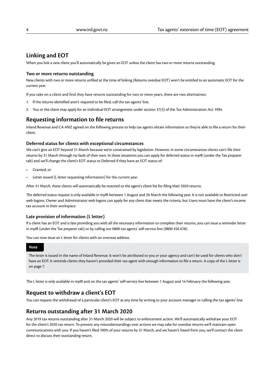# **Linking and EOT**

When you link a new client you'll automatically be given an EOT unless the client has two or more returns outstanding.

#### **Two or more returns outstanding**

New clients with two or more returns unfiled at the time of linking (Returns overdue EOT) won't be entitled to an automatic EOT for the current year.

If you take on a client and find they have returns outstanding for two or more years, there are two alternatives:

- 1. If the returns identified aren't required to be filed, call the tax agents' line.
- 2. You or the client may apply for an individual EOT arrangement under section 37(3) of the Tax Administration Act 1994.

# **Requesting information to file returns**

Inland Revenue and CA ANZ agreed on the following process to help tax agents obtain information so they're able to file a return for their client.

#### **Deferred status for clients with exceptional circumstances**

We can't give an EOT beyond 31 March because we're constrained by legislation. However, in some circumstances clients can't file their returns by 31 March through no fault of their own. In these situations you can apply for deferred status in myIR (under the Tax preparer tab) and we'll change the client's EOT status to Deferred if they have an EOT status of:

- Granted, or
- Letter issued (L letter requesting information) for the current year.

After 31 March, these clients will automatically be restored to the agent's client list for filing their 2020 returns.

The deferred status request is only available in myIR between 1 August and 20 March the following year. It is not available to Restricted user web logons. Owner and Administrator web logons can apply for any client that meets the criteria, but Users must have the client's income tax account in their workspace.

#### **Late provision of information (L letter)**

If a client has an EOT and is late providing you with all the necessary information to complete their returns, you can issue a reminder letter in myIR (under the Tax preparer tab) or by calling our 0800 tax agents' self-service line (0800 456 678).

You can now issue an L letter for clients with an overseas address.

#### **Note**

The letter is issued in the name of Inland Revenue. It won't be attributed to you or your agency and can't be used for clients who don't have an EOT. It reminds clients they haven't provided their tax agent with enough information to file a return. A copy of the L letter is on page 7.

The L letter is only available in myIR and on the tax agents' self-service line between 1 August and 14 February the following year.

# **Request to withdraw a client's EOT**

You can request the withdrawal of a particular client's EOT at any time by writing to your account manager or calling the tax agents' line.

# **Returns outstanding after 31 March 2020**

Any 2019 tax returns outstanding after 31 March 2020 will be subject to enforcement action. We'll automatically withdraw your EOT for the client's 2020 tax return. To prevent any misunderstandings over actions we may take for overdue returns we'll maintain open communications with you. If you haven't filed 100% of your returns by 31 March, and we haven't heard from you, we'll contact the client direct to discuss their outstanding return.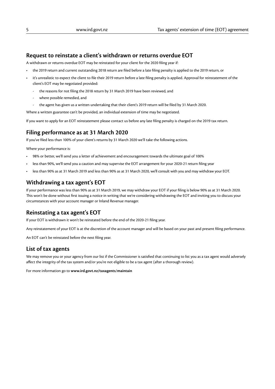### **Request to reinstate a client's withdrawn or returns overdue EOT**

A withdrawn or returns overdue EOT may be reinstated for your client for the 2020 filing year if:

- the 2019 return and current outstanding 2018 return are filed before a late filing penalty is applied to the 2019 return, or
- it's unrealistic to expect the client to file their 2019 return before a late filing penalty is applied. Approval for reinstatement of the client's EOT may be negotiated provided:
	- the reasons for not filing the 2018 return by 31 March 2019 have been reviewed, and
	- where possible remedied, and
	- the agent has given us a written undertaking that their client's 2019 return will be filed by 31 March 2020.

Where a written guarantee can't be provided, an individual extension of time may be negotiated.

If you want to apply for an EOT reinstatement please contact us before any late filing penalty is charged on the 2019 tax return.

#### **Filing performance as at 31 March 2020**

If you've filed less than 100% of your client's returns by 31 March 2020 we'll take the following actions.

Where your performance is:

- 98% or better, we'll send you a letter of achievement and encouragement towards the ultimate goal of 100%
- less than 90%, we'll send you a caution and may supervise the EOT arrangement for your 2020-21 return filing year
- less than 90% as at 31 March 2019 and less than 90% as at 31 March 2020, we'll consult with you and may withdraw your EOT.

### **Withdrawing a tax agent's EOT**

If your performance was less than 90% as at 31 March 2019, we may withdraw your EOT if your filing is below 90% as at 31 March 2020. This won't be done without first issuing a notice in writing that we're considering withdrawing the EOT and inviting you to discuss your circumstances with your account manager or Inland Revenue manager.

# **Reinstating a tax agent's EOT**

If your EOT is withdrawn it won't be reinstated before the end of the 2020-21 filing year.

Any reinstatement of your EOT is at the discretion of the account manager and will be based on your past and present filing performance.

An EOT can't be reinstated before the next filing year.

#### **List of tax agents**

We may remove you or your agency from our list if the Commissioner is satisfied that continuing to list you as a tax agent would adversely affect the integrity of the tax system and/or you're not eligible to be a tax agent (after a thorough review).

For more information go to **www.ird.govt.nz/taxagents**/**maintain**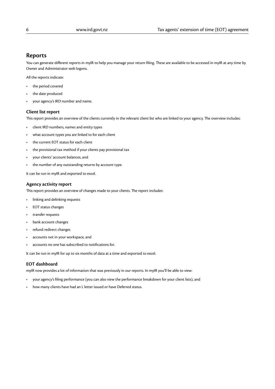### **Reports**

You can generate different reports in myIR to help you manage your return filing. These are available to be accessed in myIR at any time by Owner and Administrator web logons.

All the reports indicate:

- the period covered
- the date produced
- your agency's IRD number and name.

#### **Client list report**

This report provides an overview of the clients currently in the relevant client list who are linked to your agency. The overview includes:

- client IRD numbers, names and entity types
- what account types you are linked to for each client
- the current EOT status for each client
- the provisional tax method if your clients pay provisional tax
- your clients' account balances, and
- the number of any outstanding returns by account type.

It can be run in myIR and exported to excel.

#### **Agency activity report**

This report provides an overview of changes made to your clients. The report includes:

- linking and delinking requests
- EOT status changes
- transfer requests
- bank account changes
- refund redirect changes
- accounts not in your workspace, and
- accounts no one has subscribed to notifications for.

It can be run in myIR for up to six months of data at a time and exported to excel.

#### **EOT dashboard**

myIR now provides a lot of information that was previously in our reports. In myIR you'll be able to view:

- your agency's filing performance (you can also view the performance breakdown for your client lists), and
- how many clients have had an L letter issued or have Deferred status.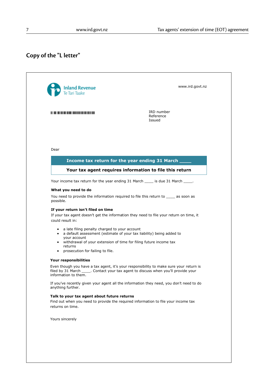# **Copy of the "L letter"**

| <b>Inland Revenue</b>                                                                                                     | www.ird.govt.nz                                                                                                                                                                |
|---------------------------------------------------------------------------------------------------------------------------|--------------------------------------------------------------------------------------------------------------------------------------------------------------------------------|
|                                                                                                                           | IRD number<br>Reference<br>Issued                                                                                                                                              |
| Dear                                                                                                                      | Income tax return for the year ending 31 March _                                                                                                                               |
| Your tax agent requires information to file this return                                                                   |                                                                                                                                                                                |
|                                                                                                                           | Your income tax return for the year ending 31 March _____ is due 31 March _____.                                                                                               |
| What you need to do<br>possible.                                                                                          | You need to provide the information required to file this return to _____ as soon as                                                                                           |
| If your return isn't filed on time<br>could result in:                                                                    | If your tax agent doesn't get the information they need to file your return on time, it                                                                                        |
| a late filing penalty charged to your account<br>$\bullet$<br>your account<br>returns<br>prosecution for failing to file. | a default assessment (estimate of your tax liability) being added to<br>• withdrawal of your extension of time for filing future income tax                                    |
| Your responsibilities                                                                                                     |                                                                                                                                                                                |
| information to them.                                                                                                      | Even though you have a tax agent, it's your responsibility to make sure your return is<br>filed by 31 March ______. Contact your tax agent to discuss when you'll provide your |
| anything further.                                                                                                         | If you've recently given your agent all the information they need, you don't need to do                                                                                        |
| Talk to your tax agent about future returns<br>returns on time.                                                           | Find out when you need to provide the required information to file your income tax                                                                                             |
|                                                                                                                           |                                                                                                                                                                                |